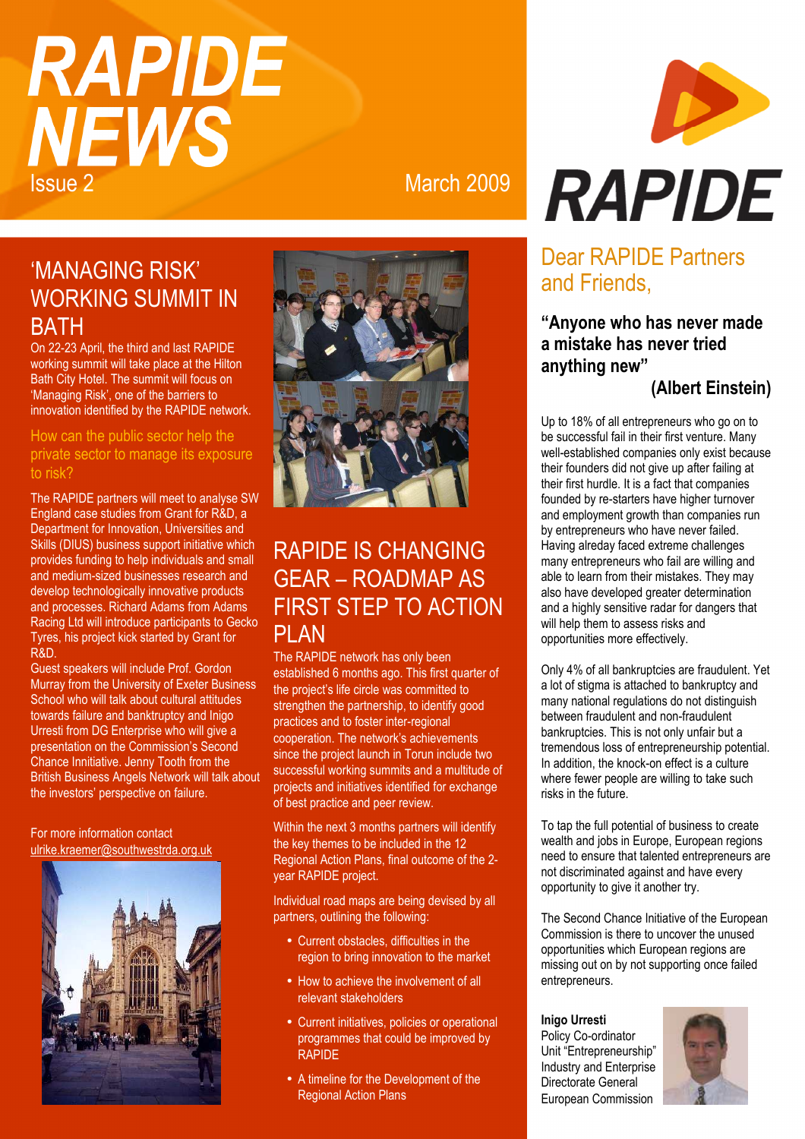# **RAPIDE NEWS Issue 2** March 2009

## 'MANAGING RISK' WORKING SUMMIT IN **BATH**

On 22-23 April, the third and last RAPIDE working summit will take place at the Hilton Bath City Hotel. The summit will focus on 'Managing Risk', one of the barriers to innovation identified by the RAPIDE network.

How can the public sector help the private sector to manage its exposure to risk?

The RAPIDE partners will meet to analyse SW England case studies from Grant for R&D, a Department for Innovation, Universities and Skills (DIUS) business support initiative which provides funding to help individuals and small and medium-sized businesses research and develop technologically innovative products and processes. Richard Adams from Adams Racing Ltd will introduce participants to Gecko Tyres, his project kick started by Grant for R&D.

Guest speakers will include Prof. Gordon Murray from the University of Exeter Business School who will talk about cultural attitudes towards failure and banktruptcy and Inigo Urresti from DG Enterprise who will give a presentation on the Commission's Second Chance Innitiative. Jenny Tooth from the British Business Angels Network will talk about the investors' perspective on failure.

For more information contact ulrike.kraemer@southwestrda.org.uk





## RAPIDE IS CHANGING GEAR – ROADMAP AS FIRST STEP TO ACTION PLAN

The RAPIDE network has only been established 6 months ago. This first quarter of the project's life circle was committed to strengthen the partnership, to identify good practices and to foster inter-regional cooperation. The network's achievements since the project launch in Torun include two successful working summits and a multitude of projects and initiatives identified for exchange of best practice and peer review.

Within the next 3 months partners will identify the key themes to be included in the 12 Regional Action Plans, final outcome of the 2 year RAPIDE project.

Individual road maps are being devised by all partners, outlining the following:

- Current obstacles, difficulties in the region to bring innovation to the market
- How to achieve the involvement of all relevant stakeholders
- Current initiatives, policies or operational programmes that could be improved by RAPIDE
- A timeline for the Development of the Regional Action Plans



## Dear RAPIDE Partners and Friends,

## **"Anyone who has never made a mistake has never tried anything new"**

**(Albert Einstein)**

Up to 18% of all entrepreneurs who go on to be successful fail in their first venture. Many well-established companies only exist because their founders did not give up after failing at their first hurdle. It is a fact that companies founded by re-starters have higher turnover and employment growth than companies run by entrepreneurs who have never failed. Having alreday faced extreme challenges many entrepreneurs who fail are willing and able to learn from their mistakes. They may also have developed greater determination and a highly sensitive radar for dangers that will help them to assess risks and opportunities more effectively.

Only 4% of all bankruptcies are fraudulent. Yet a lot of stigma is attached to bankruptcy and many national regulations do not distinguish between fraudulent and non-fraudulent bankruptcies. This is not only unfair but a tremendous loss of entrepreneurship potential. In addition, the knock-on effect is a culture where fewer people are willing to take such risks in the future.

To tap the full potential of business to create wealth and jobs in Europe, European regions need to ensure that talented entrepreneurs are not discriminated against and have every opportunity to give it another try.

The Second Chance Initiative of the European Commission is there to uncover the unused opportunities which European regions are missing out on by not supporting once failed entrepreneurs.

**Inigo Urresti**  Policy Co-ordinator Unit "Entrepreneurship" Industry and Enterprise Directorate General European Commission